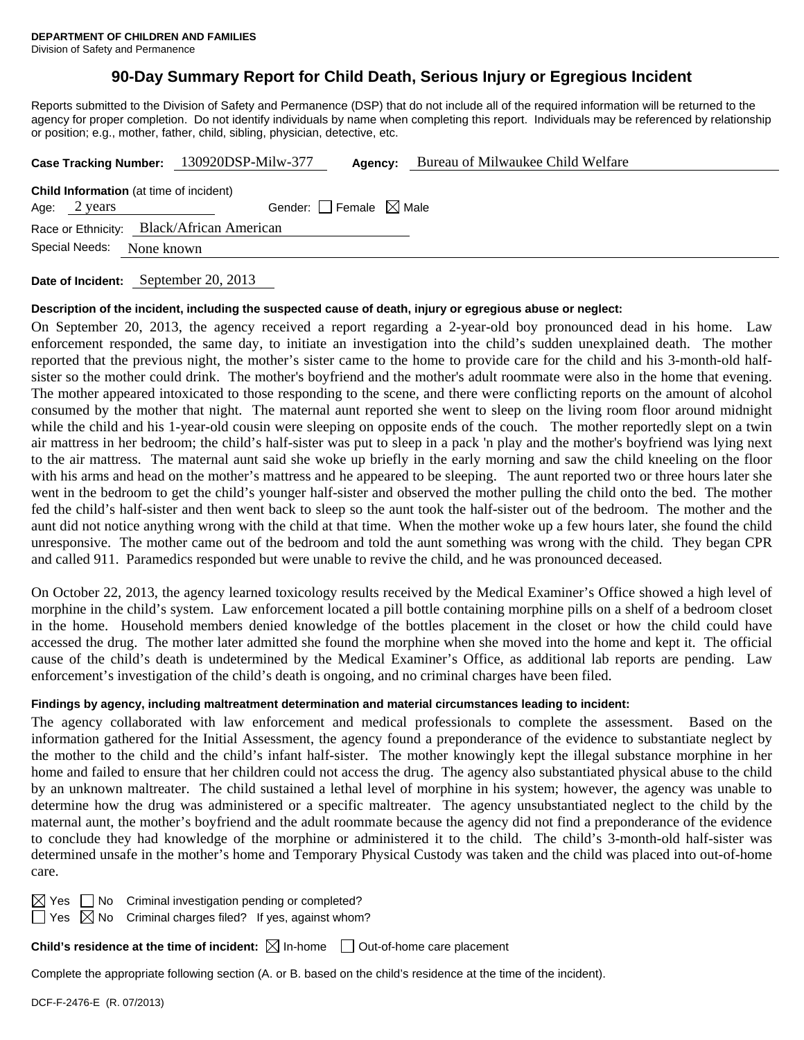# **90-Day Summary Report for Child Death, Serious Injury or Egregious Incident**

Reports submitted to the Division of Safety and Permanence (DSP) that do not include all of the required information will be returned to the agency for proper completion. Do not identify individuals by name when completing this report. Individuals may be referenced by relationship or position; e.g., mother, father, child, sibling, physician, detective, etc.

|                                                                           |              |  | Case Tracking Number: 130920DSP-Milw-377       | Agency:                         | Bureau of Milwaukee Child Welfare |  |  |
|---------------------------------------------------------------------------|--------------|--|------------------------------------------------|---------------------------------|-----------------------------------|--|--|
|                                                                           | Age: 2 years |  | <b>Child Information</b> (at time of incident) | Gender: Female $\boxtimes$ Male |                                   |  |  |
| Race or Ethnicity: Black/African American<br>Special Needs:<br>None known |              |  |                                                |                                 |                                   |  |  |
|                                                                           |              |  |                                                |                                 |                                   |  |  |

**Date of Incident:** September 20, 2013

#### **Description of the incident, including the suspected cause of death, injury or egregious abuse or neglect:**

On September 20, 2013, the agency received a report regarding a 2-year-old boy pronounced dead in his home. Law enforcement responded, the same day, to initiate an investigation into the child's sudden unexplained death. The mother reported that the previous night, the mother's sister came to the home to provide care for the child and his 3-month-old halfsister so the mother could drink. The mother's boyfriend and the mother's adult roommate were also in the home that evening. The mother appeared intoxicated to those responding to the scene, and there were conflicting reports on the amount of alcohol consumed by the mother that night. The maternal aunt reported she went to sleep on the living room floor around midnight while the child and his 1-year-old cousin were sleeping on opposite ends of the couch. The mother reportedly slept on a twin air mattress in her bedroom; the child's half-sister was put to sleep in a pack 'n play and the mother's boyfriend was lying next to the air mattress. The maternal aunt said she woke up briefly in the early morning and saw the child kneeling on the floor with his arms and head on the mother's mattress and he appeared to be sleeping. The aunt reported two or three hours later she went in the bedroom to get the child's younger half-sister and observed the mother pulling the child onto the bed. The mother fed the child's half-sister and then went back to sleep so the aunt took the half-sister out of the bedroom. The mother and the aunt did not notice anything wrong with the child at that time. When the mother woke up a few hours later, she found the child unresponsive. The mother came out of the bedroom and told the aunt something was wrong with the child. They began CPR and called 911. Paramedics responded but were unable to revive the child, and he was pronounced deceased.

On October 22, 2013, the agency learned toxicology results received by the Medical Examiner's Office showed a high level of morphine in the child's system. Law enforcement located a pill bottle containing morphine pills on a shelf of a bedroom closet in the home. Household members denied knowledge of the bottles placement in the closet or how the child could have accessed the drug. The mother later admitted she found the morphine when she moved into the home and kept it. The official cause of the child's death is undetermined by the Medical Examiner's Office, as additional lab reports are pending. Law enforcement's investigation of the child's death is ongoing, and no criminal charges have been filed.

#### **Findings by agency, including maltreatment determination and material circumstances leading to incident:**

The agency collaborated with law enforcement and medical professionals to complete the assessment. Based on the information gathered for the Initial Assessment, the agency found a preponderance of the evidence to substantiate neglect by the mother to the child and the child's infant half-sister. The mother knowingly kept the illegal substance morphine in her home and failed to ensure that her children could not access the drug. The agency also substantiated physical abuse to the child by an unknown maltreater. The child sustained a lethal level of morphine in his system; however, the agency was unable to determine how the drug was administered or a specific maltreater. The agency unsubstantiated neglect to the child by the maternal aunt, the mother's boyfriend and the adult roommate because the agency did not find a preponderance of the evidence to conclude they had knowledge of the morphine or administered it to the child. The child's 3-month-old half-sister was determined unsafe in the mother's home and Temporary Physical Custody was taken and the child was placed into out-of-home care.

 $\boxtimes$  Yes  $\Box$  No Criminal investigation pending or completed?

 $\Box$  Yes  $\boxtimes$  No Criminal charges filed? If yes, against whom?

**Child's residence at the time of incident:**  $\boxtimes$  In-home  $\Box$  Out-of-home care placement

Complete the appropriate following section (A. or B. based on the child's residence at the time of the incident).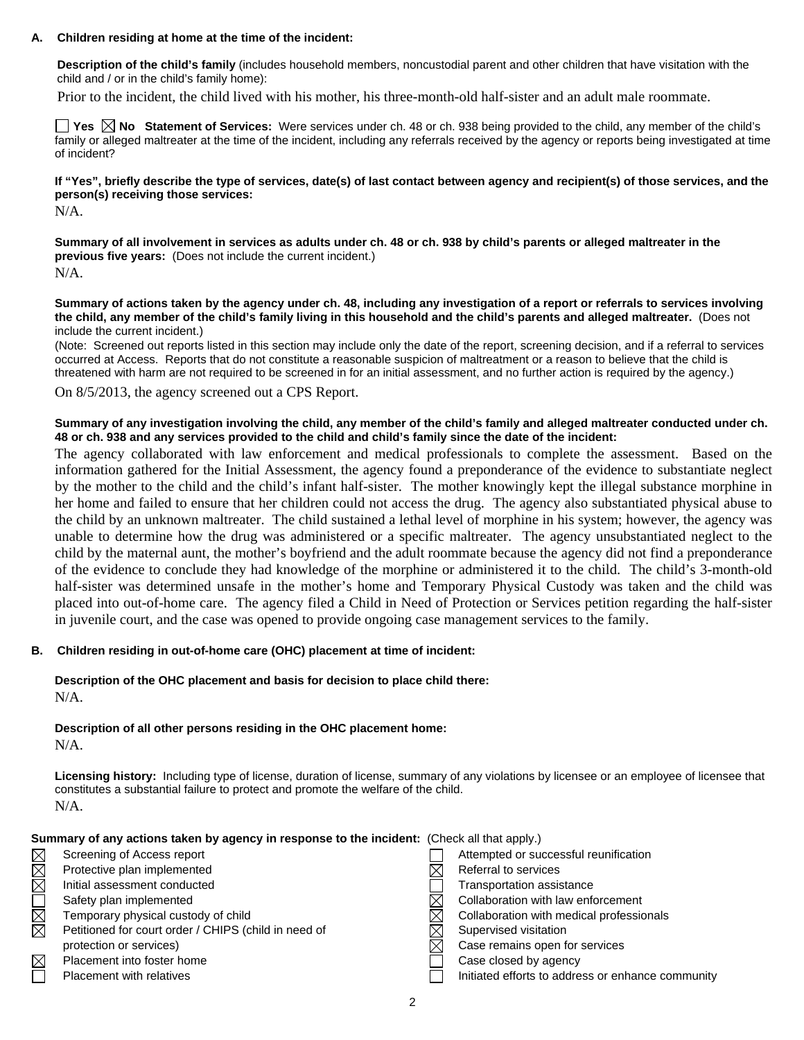## **A. Children residing at home at the time of the incident:**

**Description of the child's family** (includes household members, noncustodial parent and other children that have visitation with the child and / or in the child's family home):

Prior to the incident, the child lived with his mother, his three-month-old half-sister and an adult male roommate.

**Yes**  $\boxtimes$  **No** Statement of Services: Were services under ch. 48 or ch. 938 being provided to the child, any member of the child's family or alleged maltreater at the time of the incident, including any referrals received by the agency or reports being investigated at time of incident?

**If "Yes", briefly describe the type of services, date(s) of last contact between agency and recipient(s) of those services, and the person(s) receiving those services:** 

N/A.

**Summary of all involvement in services as adults under ch. 48 or ch. 938 by child's parents or alleged maltreater in the previous five years:** (Does not include the current incident.) N/A.

**Summary of actions taken by the agency under ch. 48, including any investigation of a report or referrals to services involving the child, any member of the child's family living in this household and the child's parents and alleged maltreater.** (Does not include the current incident.)

(Note: Screened out reports listed in this section may include only the date of the report, screening decision, and if a referral to services occurred at Access. Reports that do not constitute a reasonable suspicion of maltreatment or a reason to believe that the child is threatened with harm are not required to be screened in for an initial assessment, and no further action is required by the agency.)

On 8/5/2013, the agency screened out a CPS Report.

## **Summary of any investigation involving the child, any member of the child's family and alleged maltreater conducted under ch. 48 or ch. 938 and any services provided to the child and child's family since the date of the incident:**

The agency collaborated with law enforcement and medical professionals to complete the assessment. Based on the information gathered for the Initial Assessment, the agency found a preponderance of the evidence to substantiate neglect by the mother to the child and the child's infant half-sister. The mother knowingly kept the illegal substance morphine in her home and failed to ensure that her children could not access the drug. The agency also substantiated physical abuse to the child by an unknown maltreater. The child sustained a lethal level of morphine in his system; however, the agency was unable to determine how the drug was administered or a specific maltreater. The agency unsubstantiated neglect to the child by the maternal aunt, the mother's boyfriend and the adult roommate because the agency did not find a preponderance of the evidence to conclude they had knowledge of the morphine or administered it to the child. The child's 3-month-old half-sister was determined unsafe in the mother's home and Temporary Physical Custody was taken and the child was placed into out-of-home care. The agency filed a Child in Need of Protection or Services petition regarding the half-sister in juvenile court, and the case was opened to provide ongoing case management services to the family.

## **B. Children residing in out-of-home care (OHC) placement at time of incident:**

## **Description of the OHC placement and basis for decision to place child there:** N/A.

**Description of all other persons residing in the OHC placement home:** N/A.

**Licensing history:** Including type of license, duration of license, summary of any violations by licensee or an employee of licensee that constitutes a substantial failure to protect and promote the welfare of the child. N/A.

**Summary of any actions taken by agency in response to the incident:** (Check all that apply.)

| $\boxtimes$ | Screening of Access report                           | Attempted or successful reunification             |
|-------------|------------------------------------------------------|---------------------------------------------------|
| $\boxtimes$ | Protective plan implemented                          | Referral to services                              |
| $\boxtimes$ | Initial assessment conducted                         | Transportation assistance                         |
|             | Safety plan implemented                              | Collaboration with law enforcement                |
| $\boxtimes$ | Temporary physical custody of child                  | Collaboration with medical professionals          |
| $\boxtimes$ | Petitioned for court order / CHIPS (child in need of | Supervised visitation                             |
|             | protection or services)                              | Case remains open for services                    |
| $\boxtimes$ | Placement into foster home                           | Case closed by agency                             |
|             | Placement with relatives                             | Initiated efforts to address or enhance community |
|             |                                                      |                                                   |